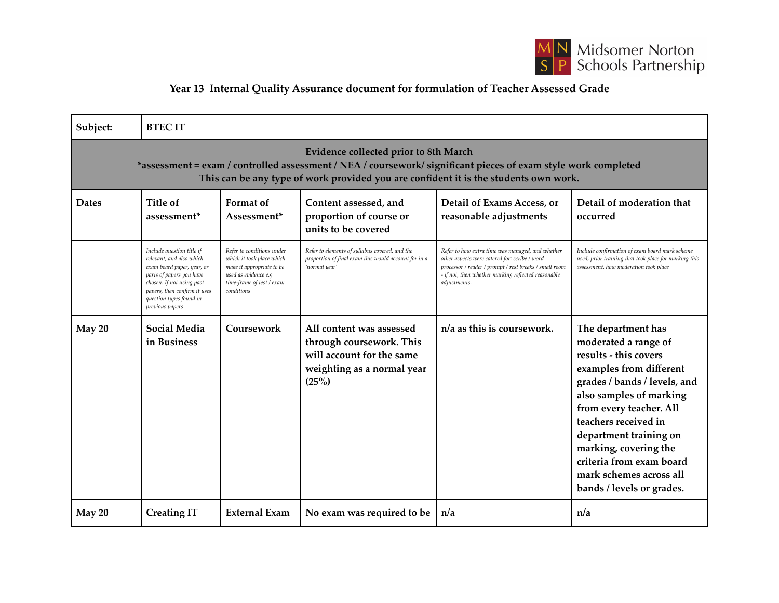

## **Year 13 Internal Quality Assurance document for formulation of Teacher Assessed Grade**

| Subject:                                                                                                                                                                                                                                        | <b>BTECIT</b>                                                                                                                                                                                                              |                                                                                                                                                        |                                                                                                                          |                                                                                                                                                                                                                                    |                                                                                                                                                                                                                                                                                                                                                     |  |
|-------------------------------------------------------------------------------------------------------------------------------------------------------------------------------------------------------------------------------------------------|----------------------------------------------------------------------------------------------------------------------------------------------------------------------------------------------------------------------------|--------------------------------------------------------------------------------------------------------------------------------------------------------|--------------------------------------------------------------------------------------------------------------------------|------------------------------------------------------------------------------------------------------------------------------------------------------------------------------------------------------------------------------------|-----------------------------------------------------------------------------------------------------------------------------------------------------------------------------------------------------------------------------------------------------------------------------------------------------------------------------------------------------|--|
| Evidence collected prior to 8th March<br>*assessment = exam / controlled assessment / NEA / coursework/ significant pieces of exam style work completed<br>This can be any type of work provided you are confident it is the students own work. |                                                                                                                                                                                                                            |                                                                                                                                                        |                                                                                                                          |                                                                                                                                                                                                                                    |                                                                                                                                                                                                                                                                                                                                                     |  |
| <b>Dates</b>                                                                                                                                                                                                                                    | Title of<br>assessment <sup>*</sup>                                                                                                                                                                                        | <b>Format</b> of<br>Assessment*                                                                                                                        | Content assessed, and<br>proportion of course or<br>units to be covered                                                  | Detail of Exams Access, or<br>reasonable adjustments                                                                                                                                                                               | Detail of moderation that<br>occurred                                                                                                                                                                                                                                                                                                               |  |
|                                                                                                                                                                                                                                                 | Include question title if<br>relevant, and also which<br>exam board paper, year, or<br>parts of papers you have<br>chosen. If not using past<br>papers, then confirm it uses<br>question types found in<br>previous papers | Refer to conditions under<br>which it took place which<br>make it appropriate to be<br>used as evidence e.g<br>time-frame of test / exam<br>conditions | Refer to elements of syllabus covered, and the<br>proportion of final exam this would account for in a<br>'normal year'  | Refer to how extra time was managed, and whether<br>other aspects were catered for: scribe / word<br>processor / reader / prompt / rest breaks / small room<br>- if not, then whether marking reflected reasonable<br>adjustments. | Include confirmation of exam board mark scheme<br>used, prior training that took place for marking this<br>assessment, how moderation took place                                                                                                                                                                                                    |  |
| May 20                                                                                                                                                                                                                                          | <b>Social Media</b><br>in Business                                                                                                                                                                                         | Coursework                                                                                                                                             | All content was assessed<br>through coursework. This<br>will account for the same<br>weighting as a normal year<br>(25%) | $n/a$ as this is coursework.                                                                                                                                                                                                       | The department has<br>moderated a range of<br>results - this covers<br>examples from different<br>grades / bands / levels, and<br>also samples of marking<br>from every teacher. All<br>teachers received in<br>department training on<br>marking, covering the<br>criteria from exam board<br>mark schemes across all<br>bands / levels or grades. |  |
| May 20                                                                                                                                                                                                                                          | <b>Creating IT</b>                                                                                                                                                                                                         | <b>External Exam</b>                                                                                                                                   | No exam was required to be                                                                                               | n/a                                                                                                                                                                                                                                | n/a                                                                                                                                                                                                                                                                                                                                                 |  |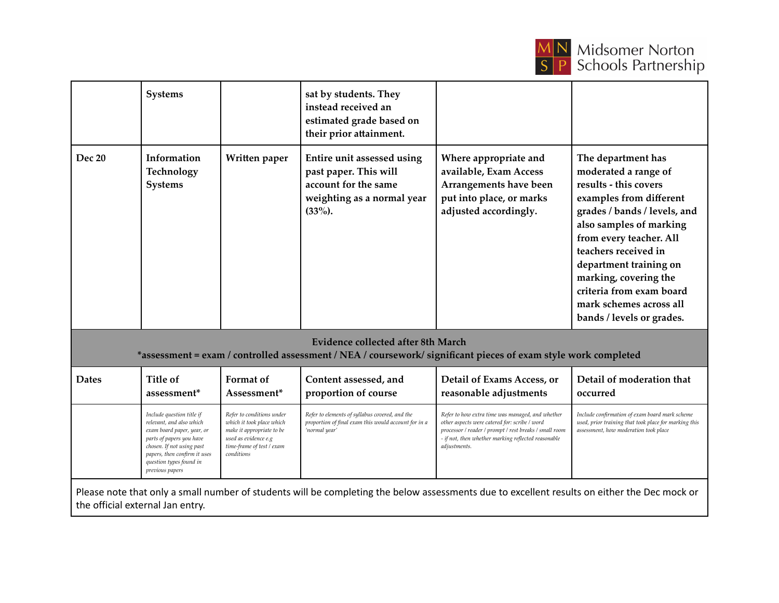

|                                                                                                                                                             | <b>Systems</b>                                                                                                                                                                                                             |                                                                                                                                                        | sat by students. They<br>instead received an<br>estimated grade based on<br>their prior attainment.                     |                                                                                                                                                                                                                                    |                                                                                                                                                                                                                                                                                                                                                     |  |
|-------------------------------------------------------------------------------------------------------------------------------------------------------------|----------------------------------------------------------------------------------------------------------------------------------------------------------------------------------------------------------------------------|--------------------------------------------------------------------------------------------------------------------------------------------------------|-------------------------------------------------------------------------------------------------------------------------|------------------------------------------------------------------------------------------------------------------------------------------------------------------------------------------------------------------------------------|-----------------------------------------------------------------------------------------------------------------------------------------------------------------------------------------------------------------------------------------------------------------------------------------------------------------------------------------------------|--|
| Dec 20                                                                                                                                                      | Information<br>Technology<br><b>Systems</b>                                                                                                                                                                                | Written paper                                                                                                                                          | Entire unit assessed using<br>past paper. This will<br>account for the same<br>weighting as a normal year<br>$(33\%).$  | Where appropriate and<br>available, Exam Access<br>Arrangements have been<br>put into place, or marks<br>adjusted accordingly.                                                                                                     | The department has<br>moderated a range of<br>results - this covers<br>examples from different<br>grades / bands / levels, and<br>also samples of marking<br>from every teacher. All<br>teachers received in<br>department training on<br>marking, covering the<br>criteria from exam board<br>mark schemes across all<br>bands / levels or grades. |  |
| <b>Evidence collected after 8th March</b><br>*assessment = exam / controlled assessment / NEA / coursework/ significant pieces of exam style work completed |                                                                                                                                                                                                                            |                                                                                                                                                        |                                                                                                                         |                                                                                                                                                                                                                                    |                                                                                                                                                                                                                                                                                                                                                     |  |
| <b>Dates</b>                                                                                                                                                | Title of<br>assessment*                                                                                                                                                                                                    | Format of<br>Assessment*                                                                                                                               | Content assessed, and<br>proportion of course                                                                           | Detail of Exams Access, or<br>reasonable adjustments                                                                                                                                                                               | Detail of moderation that<br>occurred                                                                                                                                                                                                                                                                                                               |  |
|                                                                                                                                                             | Include question title if<br>relevant, and also which<br>exam board paper, year, or<br>parts of papers you have<br>chosen. If not using past<br>papers, then confirm it uses<br>question types found in<br>previous papers | Refer to conditions under<br>which it took place which<br>make it appropriate to be<br>used as evidence e.g<br>time-frame of test / exam<br>conditions | Refer to elements of syllabus covered, and the<br>proportion of final exam this would account for in a<br>'normal year' | Refer to how extra time was managed, and whether<br>other aspects were catered for: scribe / word<br>processor / reader / prompt / rest breaks / small room<br>- if not, then whether marking reflected reasonable<br>adjustments. | Include confirmation of exam board mark scheme<br>used, prior training that took place for marking this<br>assessment, how moderation took place                                                                                                                                                                                                    |  |
| Please note that only a small number of students will be completing the below assessments due to excellent results on either the Dec mock or                |                                                                                                                                                                                                                            |                                                                                                                                                        |                                                                                                                         |                                                                                                                                                                                                                                    |                                                                                                                                                                                                                                                                                                                                                     |  |

the official external Jan entry.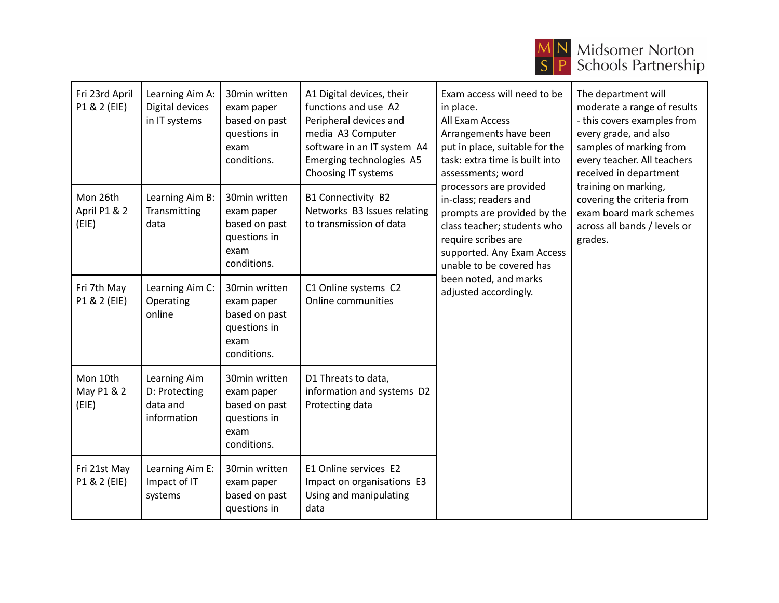

## **MN** Midsomer Norton<br>
S P Schools Partnership

| Fri 23rd April<br>P1 & 2 (EIE)    | Learning Aim A:<br>Digital devices<br>in IT systems      | 30min written<br>exam paper<br>based on past<br>questions in<br>exam<br>conditions. | A1 Digital devices, their<br>functions and use A2<br>Peripheral devices and<br>media A3 Computer<br>software in an IT system A4<br>Emerging technologies A5<br>Choosing IT systems | Exam access will need to be<br>in place.<br>All Exam Access<br>Arrangements have been<br>put in place, suitable for the<br>task: extra time is built into<br>assessments; word<br>processors are provided<br>in-class; readers and<br>prompts are provided by the<br>class teacher; students who<br>require scribes are<br>supported. Any Exam Access<br>unable to be covered has<br>been noted, and marks<br>adjusted accordingly. | The department will<br>moderate a range of results<br>- this covers examples from<br>every grade, and also<br>samples of marking from<br>every teacher. All teachers<br>received in department<br>training on marking,<br>covering the criteria from<br>exam board mark schemes<br>across all bands / levels or<br>grades. |
|-----------------------------------|----------------------------------------------------------|-------------------------------------------------------------------------------------|------------------------------------------------------------------------------------------------------------------------------------------------------------------------------------|-------------------------------------------------------------------------------------------------------------------------------------------------------------------------------------------------------------------------------------------------------------------------------------------------------------------------------------------------------------------------------------------------------------------------------------|----------------------------------------------------------------------------------------------------------------------------------------------------------------------------------------------------------------------------------------------------------------------------------------------------------------------------|
| Mon 26th<br>April P1 & 2<br>(EIE) | Learning Aim B:<br>Transmitting<br>data                  | 30min written<br>exam paper<br>based on past<br>questions in<br>exam<br>conditions. | B1 Connectivity B2<br>Networks B3 Issues relating<br>to transmission of data                                                                                                       |                                                                                                                                                                                                                                                                                                                                                                                                                                     |                                                                                                                                                                                                                                                                                                                            |
| Fri 7th May<br>P1 & 2 (EIE)       | Learning Aim C:<br>Operating<br>online                   | 30min written<br>exam paper<br>based on past<br>questions in<br>exam<br>conditions. | C1 Online systems C2<br>Online communities                                                                                                                                         |                                                                                                                                                                                                                                                                                                                                                                                                                                     |                                                                                                                                                                                                                                                                                                                            |
| Mon 10th<br>May P1 & 2<br>(EIE)   | Learning Aim<br>D: Protecting<br>data and<br>information | 30min written<br>exam paper<br>based on past<br>questions in<br>exam<br>conditions. | D1 Threats to data,<br>information and systems D2<br>Protecting data                                                                                                               |                                                                                                                                                                                                                                                                                                                                                                                                                                     |                                                                                                                                                                                                                                                                                                                            |
| Fri 21st May<br>P1 & 2 (EIE)      | Learning Aim E:<br>Impact of IT<br>systems               | 30min written<br>exam paper<br>based on past<br>questions in                        | E1 Online services E2<br>Impact on organisations E3<br>Using and manipulating<br>data                                                                                              |                                                                                                                                                                                                                                                                                                                                                                                                                                     |                                                                                                                                                                                                                                                                                                                            |